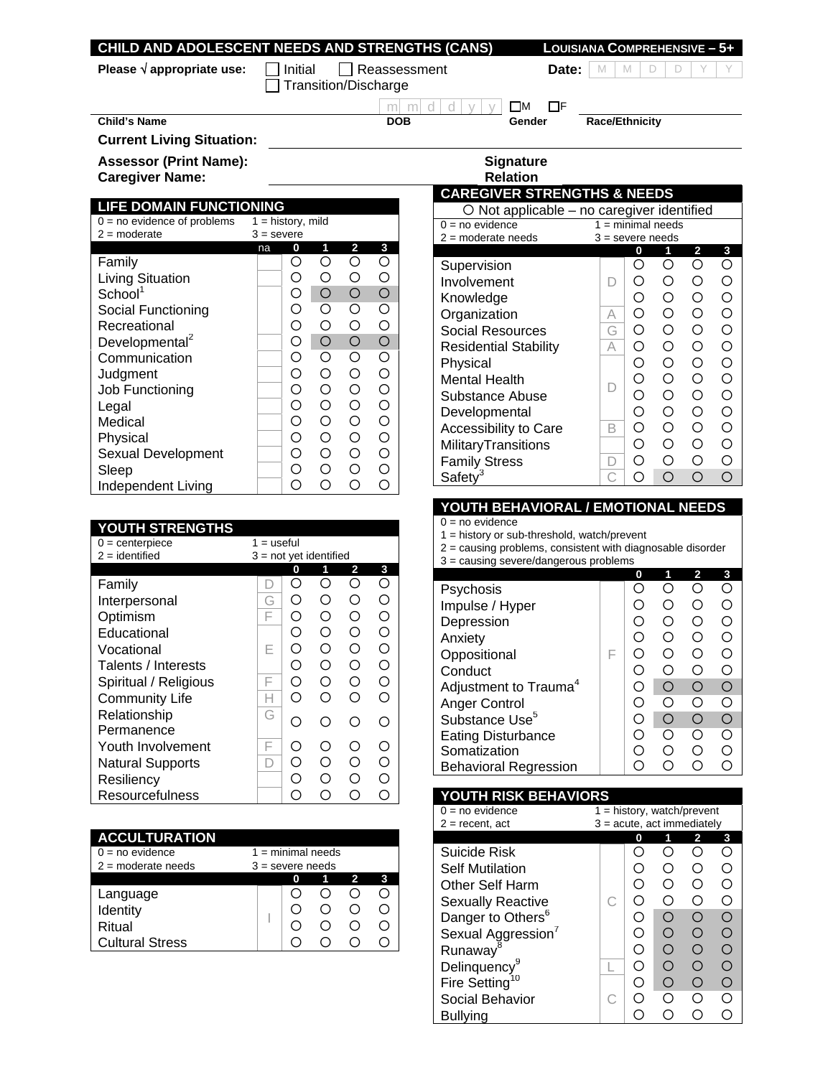## **CHILD AND ADOLESCENT NEEDS AND STRENGTHS (CANS) LOUISIANA COMPREHENSIVE – 5+**

**Please √ appropriate use:**  $\Box$  Initial  $\Box$  Reassessment **Date:** M M D D

Transition/Discharge

**Child's Name DOB** Gender Race/Ethnicity

**Current Living Situation:** 

Assessor (Print Name): **Signature Signature** 

**Caregiver Name: Caregiver Name: Relation** 

### **LIFE DOMAIN FUNCTIONING**

| $0 = no$ evidence of problems | $1 =$ history, mild |     |            |            |                    |
|-------------------------------|---------------------|-----|------------|------------|--------------------|
| $2 =$ moderate                | $3 =$ severe        |     |            |            |                    |
|                               | na                  | 0   | 1          | 2          | 3                  |
| Family                        |                     | ( ) | O          | ∩          | O                  |
| Living Situation              |                     | ∩   | ∩          | Ο          | О                  |
| School <sup>1</sup>           |                     | ∩   | $\bigcirc$ | $\bigcirc$ | $\bigcirc$         |
| Social Functioning            |                     | ∩   | Ω          | Ω          | $\overline{\circ}$ |
| Recreational                  |                     | ∩   | ∩          | Ο          | O                  |
| Developmental <sup>2</sup>    |                     | ∩   | $\bigcirc$ | $\bigcirc$ | $\overline{O}$     |
| Communication                 |                     | ∩   | Ω          | Ω          | O                  |
| Judgment                      |                     | Ω   | О          | Ο          | O                  |
| Job Functioning               |                     | ∩   | ∩          | Ω          | O                  |
| Legal                         |                     | ∩   | Ω          | Ω          | O                  |
| Medical                       |                     | ∩   | Ω          | O          | $\circ$            |
| Physical                      |                     | ∩   | Ω          | Ω          | O                  |
| Sexual Development            |                     | ∩   | ∩          | ∩          | O                  |
| Sleep                         |                     | ſΓ  | ∩          | ∩          | Ó                  |
| Independent Living            |                     |     |            |            | ∩                  |

# **YOUTH STRENGTHS**

| $0 =$ centerpiece       | $1 =$ useful             |                    |         |                                                             |                                               |
|-------------------------|--------------------------|--------------------|---------|-------------------------------------------------------------|-----------------------------------------------|
| $2 =$ identified        | $3 = not$ yet identified |                    |         |                                                             |                                               |
|                         |                          | 0                  | 1       | 2                                                           | 3                                             |
| Family                  |                          | ( )                | Ω       | Ω                                                           | ∩                                             |
| Interpersonal           | G                        | $\left( \right)$   | ∩       | $\left(\begin{smallmatrix} 1 \\ 1 \end{smallmatrix}\right)$ | ∩                                             |
| Optimism                | F                        | ∩                  | ∩       | ∩                                                           | ∩                                             |
| Educational             |                          | ∩                  | ∩       | ∩                                                           | Ω                                             |
| Vocational              | F                        | ∩                  | ∩       | ∩                                                           | ∩                                             |
| Talents / Interests     |                          | $\left( \right)$   | ∩       | ∩                                                           | Ω                                             |
| Spiritual / Religious   | F                        | ∩                  | ∩       | ∩                                                           | ∩                                             |
| <b>Community Life</b>   |                          | ∩                  | ∩       | ∩                                                           | ∩                                             |
| Relationship            | G                        | $\curvearrowright$ | $\circ$ | ( )                                                         | ∩                                             |
| Permanence              |                          |                    |         |                                                             |                                               |
| Youth Involvement       | F                        | ( )                | ∩       | $\left(\begin{smallmatrix} 1 \\ 1 \end{smallmatrix}\right)$ | $\left(\begin{array}{c} 1 \end{array}\right)$ |
| <b>Natural Supports</b> |                          | Ω                  | ∩       | ∩                                                           | ∩                                             |
| Resiliency              |                          | Ω                  | Ω       | Э                                                           | ∩                                             |
| Resourcefulness         |                          |                    |         |                                                             |                                               |

| <b>ACCULTURATION</b>   |                            |   |  |                         |   |  |
|------------------------|----------------------------|---|--|-------------------------|---|--|
| $0 = no$ evidence      | $1 = \text{minimal needs}$ |   |  |                         |   |  |
| $2 =$ moderate needs   | $3 =$ severe needs         |   |  |                         |   |  |
|                        |                            | 0 |  | $\overline{\mathbf{2}}$ | 3 |  |
| Language               |                            |   |  |                         |   |  |
| Identity               |                            |   |  |                         |   |  |
| Ritual                 |                            |   |  |                         |   |  |
| <b>Cultural Stress</b> |                            |   |  |                         |   |  |

 $\begin{array}{|c|c|c|c|c|}\n\hline\nm & m & d & d & y & y & \Box M & \Box F \\
\hline\n\textbf{DOB} & & \textbf{Gender} & \end{array}$ 

# **CAREGIVER STRENGTHS & NEEDS**

| $\circ$ Not applicable – no caregiver identified |                    |                                               |                                               |   |   |  |  |
|--------------------------------------------------|--------------------|-----------------------------------------------|-----------------------------------------------|---|---|--|--|
| $0 = no$ evidence                                |                    |                                               | $1 =$ minimal needs                           |   |   |  |  |
| $2 =$ moderate needs                             | $3 =$ severe needs |                                               |                                               |   |   |  |  |
|                                                  |                    | 0                                             | 1                                             | 2 | 3 |  |  |
| Supervision                                      |                    | O                                             | ()                                            | ∩ | ∩ |  |  |
| Involvement                                      |                    | $\left(\begin{array}{c} 1 \end{array}\right)$ | ∩                                             | ∩ | ∩ |  |  |
| Knowledge                                        |                    | ∩                                             | ∩                                             | ∩ | ∩ |  |  |
| Organization                                     | А                  | ∩                                             | ∩                                             | ∩ | Ω |  |  |
| <b>Social Resources</b>                          | G                  | ∩                                             | ∩                                             | ∩ | Ω |  |  |
| <b>Residential Stability</b>                     | А                  | ∩                                             | ∩                                             | ∩ | ∩ |  |  |
| Physical                                         |                    | ∩                                             | ∩                                             | ∩ | ∩ |  |  |
| <b>Mental Health</b>                             |                    | ∩                                             | ∩                                             | ∩ | Ω |  |  |
| Substance Abuse                                  |                    | ∩                                             | ∩                                             | ∩ | ∩ |  |  |
| Developmental                                    |                    | ∩                                             | ∩                                             | ∩ | Ω |  |  |
| Accessibility to Care                            | R                  | ∩                                             | ∩                                             | ∩ | Ω |  |  |
| MilitaryTransitions                              |                    | ∩                                             | ∩                                             | ∩ | Ω |  |  |
| <b>Family Stress</b>                             |                    | ∩                                             | $\left(\begin{array}{c} 1 \end{array}\right)$ | ∩ | ∩ |  |  |
| Safety                                           |                    | ⊖                                             | ∩                                             | ∩ |   |  |  |

### **YOUTH BEHAVIORAL / EMOTIONAL NEEDS**

 $0 = no$  evidence

1 = history or sub-threshold, watch/prevent

2 = causing problems, consistent with diagnosable disorder

3 = causing severe/dangerous problems

|                                   |   | 0 | 2      | 3 |
|-----------------------------------|---|---|--------|---|
| Psychosis                         |   |   |        |   |
| Impulse / Hyper                   |   |   | ()     |   |
| Depression                        |   |   | ( )    |   |
| Anxiety                           |   |   | ()     |   |
| Oppositional                      | ⊢ |   | ( )    |   |
| Conduct                           |   |   | ( )    |   |
| Adjustment to Trauma <sup>4</sup> |   |   | ∩      |   |
| <b>Anger Control</b>              |   |   | ( )    |   |
| Substance Use <sup>5</sup>        |   |   | ∩      |   |
| <b>Eating Disturbance</b>         |   |   | Ο      |   |
| Somatization                      |   |   | $\Box$ |   |
| <b>Behavioral Regression</b>      |   |   |        |   |

## **YOUTH RISK BEHAVIORS**

| $0 = no$ evidence              | $1 =$ history, watch/prevent |     |                  |                                               |   |  |
|--------------------------------|------------------------------|-----|------------------|-----------------------------------------------|---|--|
| $2 =$ recent, act              | $3 =$ acute, act immediately |     |                  |                                               |   |  |
|                                |                              | 0   |                  | 2                                             | 3 |  |
| Suicide Risk                   |                              |     |                  |                                               |   |  |
| <b>Self Mutilation</b>         |                              |     |                  | 〔 〕                                           |   |  |
| Other Self Harm                |                              |     |                  | ()                                            |   |  |
| <b>Sexually Reactive</b>       |                              |     |                  | 67                                            |   |  |
| Danger to Others <sup>6</sup>  |                              |     | ( )              | ∩                                             |   |  |
| Sexual Aggression <sup>7</sup> |                              | ()  | ()               | $\left(\begin{array}{c} 1 \end{array}\right)$ |   |  |
| Runaway <sup>8</sup>           |                              | ()  | ( )              | $\Box$                                        |   |  |
| Delinquency <sup>9</sup>       |                              | ( ) | $\left( \right)$ | Ω                                             |   |  |
| Fire Setting <sup>10</sup>     |                              |     | ( )              | $\blacksquare$                                |   |  |
| Social Behavior                |                              |     |                  | ົ                                             |   |  |
| Bullvina                       |                              |     |                  |                                               |   |  |